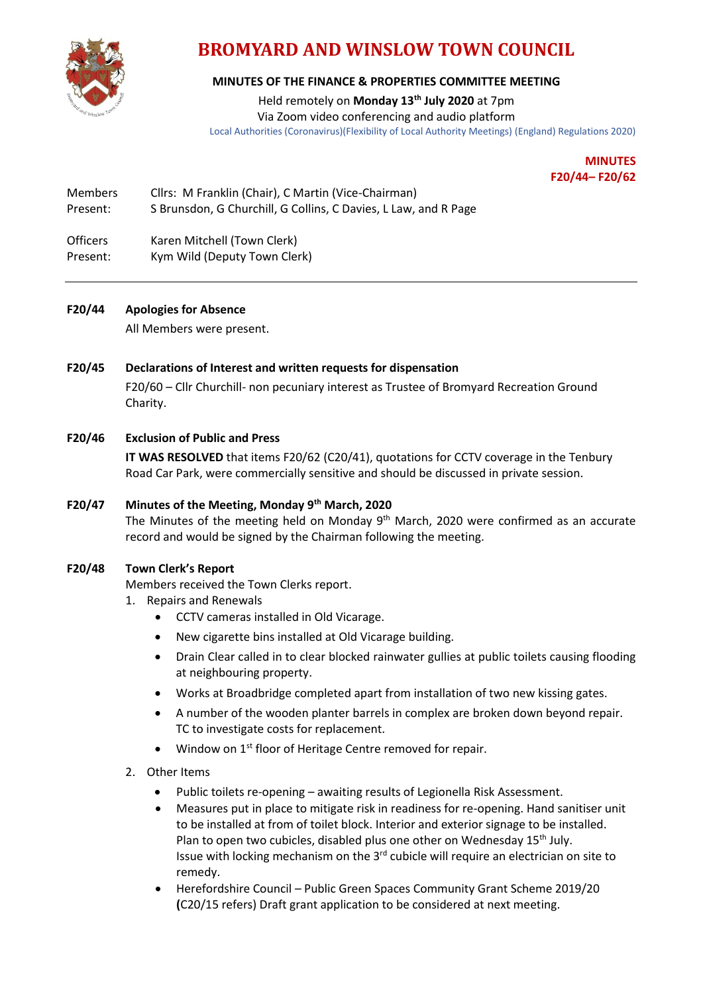

# **BROMYARD AND WINSLOW TOWN COUNCIL**

## **MINUTES OF THE FINANCE & PROPERTIES COMMITTEE MEETING**

Held remotely on **Monday 13th July 2020** at 7pm

Via Zoom video conferencing and audio platform Local Authorities (Coronavirus)(Flexibility of Local Authority Meetings) (England) Regulations 2020)

> **MINUTES F20/44– F20/62**

| <b>Members</b> | Cllrs: M Franklin (Chair), C Martin (Vice-Chairman)             |
|----------------|-----------------------------------------------------------------|
| Present:       | S Brunsdon, G Churchill, G Collins, C Davies, L Law, and R Page |

Officers Karen Mitchell (Town Clerk) Present: Kym Wild (Deputy Town Clerk)

## **F20/44 Apologies for Absence**

All Members were present.

## **F20/45 Declarations of Interest and written requests for dispensation**

F20/60 – Cllr Churchill- non pecuniary interest as Trustee of Bromyard Recreation Ground Charity.

## **F20/46 Exclusion of Public and Press**

**IT WAS RESOLVED** that items F20/62 (C20/41), quotations for CCTV coverage in the Tenbury Road Car Park, were commercially sensitive and should be discussed in private session.

## **F20/47 Minutes of the Meeting, Monday 9th March, 2020**

The Minutes of the meeting held on Monday  $9<sup>th</sup>$  March, 2020 were confirmed as an accurate record and would be signed by the Chairman following the meeting.

#### **F20/48 Town Clerk's Report**

Members received the Town Clerks report.

- 1. Repairs and Renewals
	- CCTV cameras installed in Old Vicarage.
	- New cigarette bins installed at Old Vicarage building.
	- Drain Clear called in to clear blocked rainwater gullies at public toilets causing flooding at neighbouring property.
	- Works at Broadbridge completed apart from installation of two new kissing gates.
	- A number of the wooden planter barrels in complex are broken down beyond repair. TC to investigate costs for replacement.
	- Window on 1<sup>st</sup> floor of Heritage Centre removed for repair.
- 2. Other Items
	- Public toilets re-opening awaiting results of Legionella Risk Assessment.
	- Measures put in place to mitigate risk in readiness for re-opening. Hand sanitiser unit to be installed at from of toilet block. Interior and exterior signage to be installed. Plan to open two cubicles, disabled plus one other on Wednesday 15<sup>th</sup> July. Issue with locking mechanism on the 3rd cubicle will require an electrician on site to remedy.
	- Herefordshire Council Public Green Spaces Community Grant Scheme 2019/20 **(**C20/15 refers) Draft grant application to be considered at next meeting.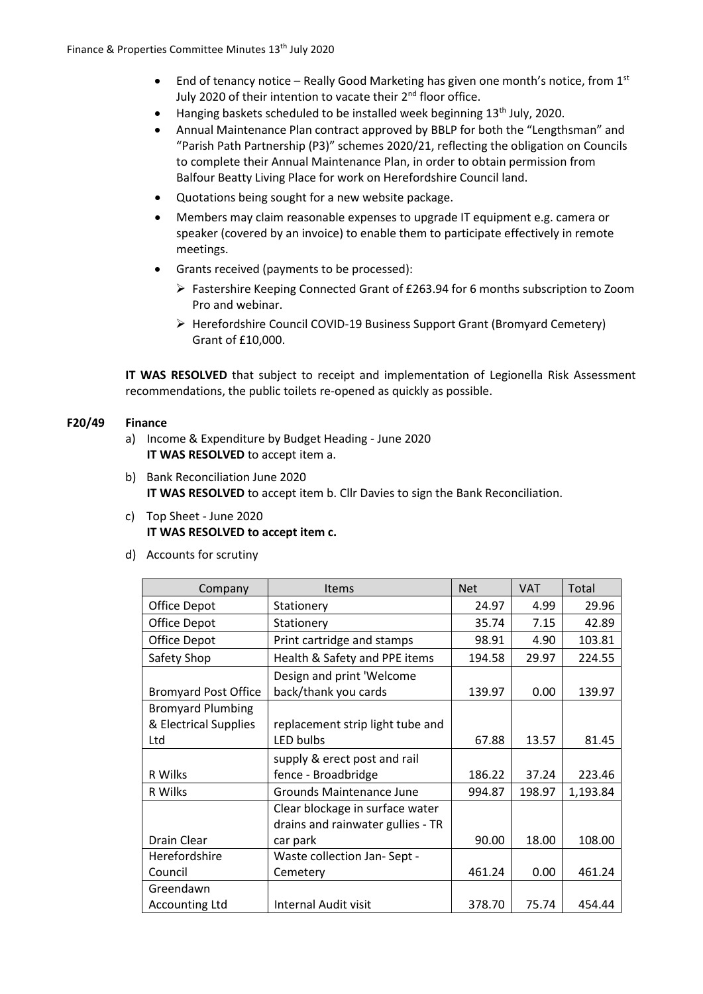- End of tenancy notice Really Good Marketing has given one month's notice, from  $1^{st}$ July 2020 of their intention to vacate their 2<sup>nd</sup> floor office.
- Hanging baskets scheduled to be installed week beginning  $13<sup>th</sup>$  July, 2020.
- Annual Maintenance Plan contract approved by BBLP for both the "Lengthsman" and "Parish Path Partnership (P3)" schemes 2020/21, reflecting the obligation on Councils to complete their Annual Maintenance Plan, in order to obtain permission from Balfour Beatty Living Place for work on Herefordshire Council land.
- Quotations being sought for a new website package.
- Members may claim reasonable expenses to upgrade IT equipment e.g. camera or speaker (covered by an invoice) to enable them to participate effectively in remote meetings.
- Grants received (payments to be processed):
	- ➢ Fastershire Keeping Connected Grant of £263.94 for 6 months subscription to Zoom Pro and webinar.
	- ➢ Herefordshire Council COVID-19 Business Support Grant (Bromyard Cemetery) Grant of £10,000.

**IT WAS RESOLVED** that subject to receipt and implementation of Legionella Risk Assessment recommendations, the public toilets re-opened as quickly as possible.

## **F20/49 Finance**

- a) Income & Expenditure by Budget Heading June 2020 **IT WAS RESOLVED** to accept item a.
- b) Bank Reconciliation June 2020 **IT WAS RESOLVED** to accept item b. Cllr Davies to sign the Bank Reconciliation.
- c) Top Sheet June 2020 **IT WAS RESOLVED to accept item c.**
- d) Accounts for scrutiny

| Company                     | <b>Items</b>                      | <b>Net</b> | <b>VAT</b> | Total    |
|-----------------------------|-----------------------------------|------------|------------|----------|
| Office Depot                | Stationery                        | 24.97      | 4.99       | 29.96    |
| Office Depot                | Stationery                        | 35.74      | 7.15       | 42.89    |
| Office Depot                | Print cartridge and stamps        | 98.91      | 4.90       | 103.81   |
| Safety Shop                 | Health & Safety and PPE items     | 194.58     | 29.97      | 224.55   |
|                             | Design and print 'Welcome         |            |            |          |
| <b>Bromyard Post Office</b> | back/thank you cards              | 139.97     | 0.00       | 139.97   |
| <b>Bromyard Plumbing</b>    |                                   |            |            |          |
| & Electrical Supplies       | replacement strip light tube and  |            |            |          |
| Ltd                         | LED bulbs                         | 67.88      | 13.57      | 81.45    |
|                             | supply & erect post and rail      |            |            |          |
| R Wilks                     | fence - Broadbridge               | 186.22     | 37.24      | 223.46   |
| R Wilks                     | Grounds Maintenance June          | 994.87     | 198.97     | 1,193.84 |
|                             | Clear blockage in surface water   |            |            |          |
|                             | drains and rainwater gullies - TR |            |            |          |
| Drain Clear                 | car park                          | 90.00      | 18.00      | 108.00   |
| Herefordshire               | Waste collection Jan-Sept -       |            |            |          |
| Council                     | Cemetery                          | 461.24     | 0.00       | 461.24   |
| Greendawn                   |                                   |            |            |          |
| <b>Accounting Ltd</b>       | <b>Internal Audit visit</b>       | 378.70     | 75.74      | 454.44   |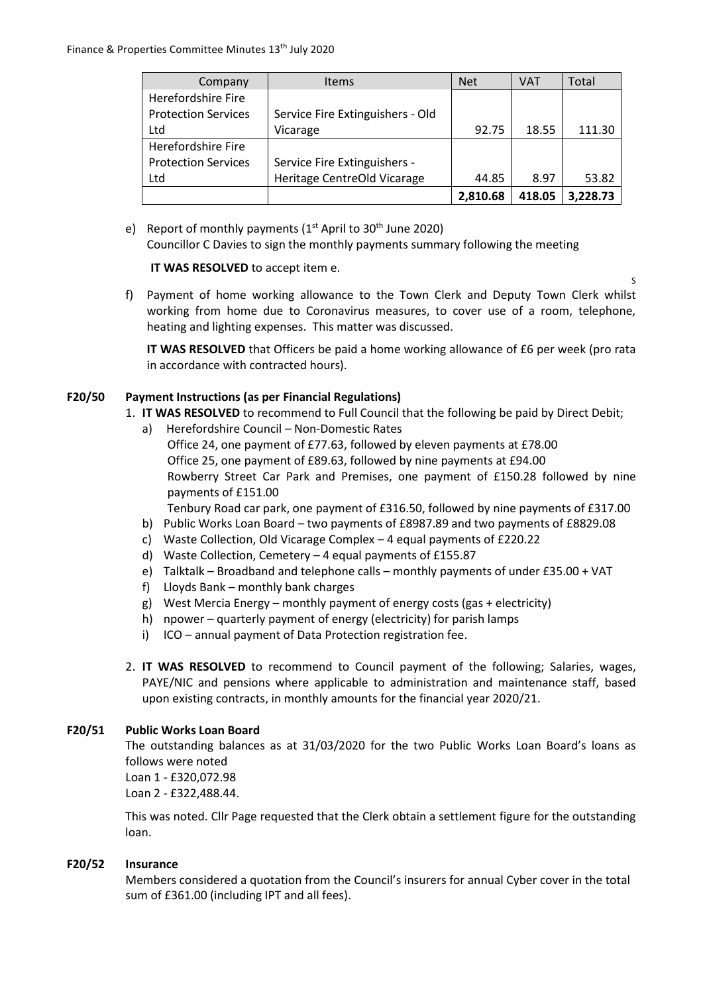| Company                    | <b>Items</b>                     | <b>Net</b> | <b>VAT</b> | Total    |
|----------------------------|----------------------------------|------------|------------|----------|
| Herefordshire Fire         |                                  |            |            |          |
| <b>Protection Services</b> | Service Fire Extinguishers - Old |            |            |          |
| Ltd                        | Vicarage                         | 92.75      | 18.55      | 111.30   |
| Herefordshire Fire         |                                  |            |            |          |
| <b>Protection Services</b> | Service Fire Extinguishers -     |            |            |          |
| Ltd                        | Heritage CentreOld Vicarage      | 44.85      | 8.97       | 53.82    |
|                            |                                  | 2,810.68   | 418.05     | 3,228.73 |

e) Report of monthly payments  $(1<sup>st</sup>$  April to 30<sup>th</sup> June 2020)

Councillor C Davies to sign the monthly payments summary following the meeting

**IT WAS RESOLVED** to accept item e.

f) Payment of home working allowance to the Town Clerk and Deputy Town Clerk whilst working from home due to Coronavirus measures, to cover use of a room, telephone, heating and lighting expenses. This matter was discussed.

**IT WAS RESOLVED** that Officers be paid a home working allowance of £6 per week (pro rata in accordance with contracted hours).

S

## **F20/50 Payment Instructions (as per Financial Regulations)**

- 1. **IT WAS RESOLVED** to recommend to Full Council that the following be paid by Direct Debit;
	- a) Herefordshire Council Non-Domestic Rates
		- Office 24, one payment of £77.63, followed by eleven payments at £78.00 Office 25, one payment of £89.63, followed by nine payments at £94.00 Rowberry Street Car Park and Premises, one payment of £150.28 followed by nine payments of £151.00

Tenbury Road car park, one payment of £316.50, followed by nine payments of £317.00

- b) Public Works Loan Board two payments of £8987.89 and two payments of £8829.08
- c) Waste Collection, Old Vicarage Complex 4 equal payments of £220.22
- d) Waste Collection, Cemetery 4 equal payments of £155.87
- e) Talktalk Broadband and telephone calls monthly payments of under £35.00 + VAT
- f) Lloyds Bank monthly bank charges
- g) West Mercia Energy monthly payment of energy costs (gas + electricity)
- h) npower quarterly payment of energy (electricity) for parish lamps
- i) ICO annual payment of Data Protection registration fee.
- 2. **IT WAS RESOLVED** to recommend to Council payment of the following; Salaries, wages, PAYE/NIC and pensions where applicable to administration and maintenance staff, based upon existing contracts, in monthly amounts for the financial year 2020/21.

#### **F20/51 Public Works Loan Board**

The outstanding balances as at 31/03/2020 for the two Public Works Loan Board's loans as follows were noted Loan 1 - £320,072.98

Loan 2 - £322,488.44.

This was noted. Cllr Page requested that the Clerk obtain a settlement figure for the outstanding loan.

#### **F20/52 Insurance**

Members considered a quotation from the Council's insurers for annual Cyber cover in the total sum of £361.00 (including IPT and all fees).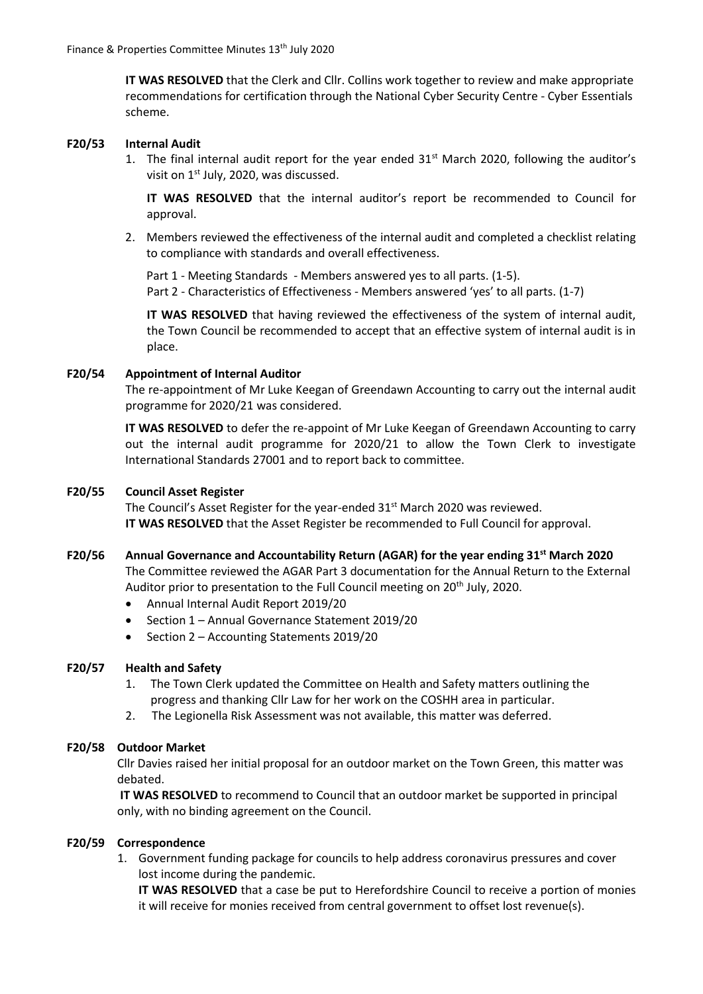**IT WAS RESOLVED** that the Clerk and Cllr. Collins work together to review and make appropriate recommendations for certification through the National Cyber Security Centre - Cyber Essentials scheme.

#### **F20/53 Internal Audit**

1. The final internal audit report for the year ended  $31<sup>st</sup>$  March 2020, following the auditor's visit on  $1<sup>st</sup>$  July, 2020, was discussed.

**IT WAS RESOLVED** that the internal auditor's report be recommended to Council for approval.

2. Members reviewed the effectiveness of the internal audit and completed a checklist relating to compliance with standards and overall effectiveness.

Part 1 - Meeting Standards - Members answered yes to all parts. (1-5). Part 2 - Characteristics of Effectiveness - Members answered 'yes' to all parts. (1-7)

**IT WAS RESOLVED** that having reviewed the effectiveness of the system of internal audit, the Town Council be recommended to accept that an effective system of internal audit is in place.

#### **F20/54 Appointment of Internal Auditor**

The re-appointment of Mr Luke Keegan of Greendawn Accounting to carry out the internal audit programme for 2020/21 was considered.

**IT WAS RESOLVED** to defer the re-appoint of Mr Luke Keegan of Greendawn Accounting to carry out the internal audit programme for 2020/21 to allow the Town Clerk to investigate International Standards 27001 and to report back to committee.

#### **F20/55 Council Asset Register**

The Council's Asset Register for the year-ended 31<sup>st</sup> March 2020 was reviewed. **IT WAS RESOLVED** that the Asset Register be recommended to Full Council for approval.

#### **F20/56 Annual Governance and Accountability Return (AGAR) for the year ending 31st March 2020**

The Committee reviewed the AGAR Part 3 documentation for the Annual Return to the External Auditor prior to presentation to the Full Council meeting on 20<sup>th</sup> July, 2020.

- Annual Internal Audit Report 2019/20
- Section 1 Annual Governance Statement 2019/20
- Section 2 Accounting Statements 2019/20

#### **F20/57 Health and Safety**

- 1. The Town Clerk updated the Committee on Health and Safety matters outlining the progress and thanking Cllr Law for her work on the COSHH area in particular.
- 2. The Legionella Risk Assessment was not available, this matter was deferred.

#### **F20/58 Outdoor Market**

Cllr Davies raised her initial proposal for an outdoor market on the Town Green, this matter was debated.

**IT WAS RESOLVED** to recommend to Council that an outdoor market be supported in principal only, with no binding agreement on the Council.

#### **F20/59 Correspondence**

1. Government funding package for councils to help address coronavirus pressures and cover lost income during the pandemic.

**IT WAS RESOLVED** that a case be put to Herefordshire Council to receive a portion of monies it will receive for monies received from central government to offset lost revenue(s).